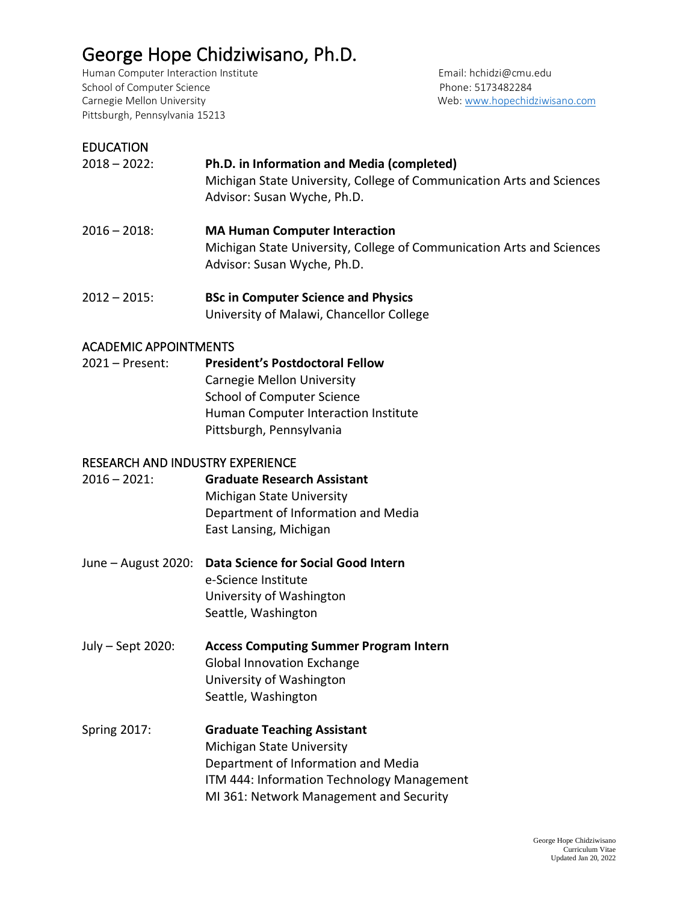# George Hope Chidziwisano, Ph.D.

Human Computer Interaction Institute **Email: hchidzi@cmu.edu** School of Computer Science **Phone: 5173482284** Carnegie Mellon University **Web: Web: [www.hopechidziwisano.com](http://www.hopechidziwisano.com/)** Pittsburgh, Pennsylvania 15213

#### EDUCATION

| $2018 - 2022$ : | Ph.D. in Information and Media (completed)                            |
|-----------------|-----------------------------------------------------------------------|
|                 | Michigan State University, College of Communication Arts and Sciences |
|                 | Advisor: Susan Wyche, Ph.D.                                           |

- 2016 2018: **MA Human Computer Interaction** Michigan State University, College of Communication Arts and Sciences Advisor: Susan Wyche, Ph.D.
- 2012 2015: **BSc in Computer Science and Physics** University of Malawi, Chancellor College

#### ACADEMIC APPOINTMENTS

2021 – Present: **President's Postdoctoral Fellow** Carnegie Mellon University School of Computer Science Human Computer Interaction Institute Pittsburgh, Pennsylvania

#### RESEARCH AND INDUSTRY EXPERIENCE

| 2016 – 2021: | <b>Graduate Research Assistant</b>  |
|--------------|-------------------------------------|
|              | <b>Michigan State University</b>    |
|              | Department of Information and Media |
|              | East Lansing, Michigan              |
|              |                                     |

- June August 2020: **Data Science for Social Good Intern** e-Science Institute University of Washington Seattle, Washington
- July Sept 2020: **Access Computing Summer Program Intern** Global Innovation Exchange University of Washington Seattle, Washington
- Spring 2017: **Graduate Teaching Assistant** Michigan State University Department of Information and Media ITM 444: Information Technology Management MI 361: Network Management and Security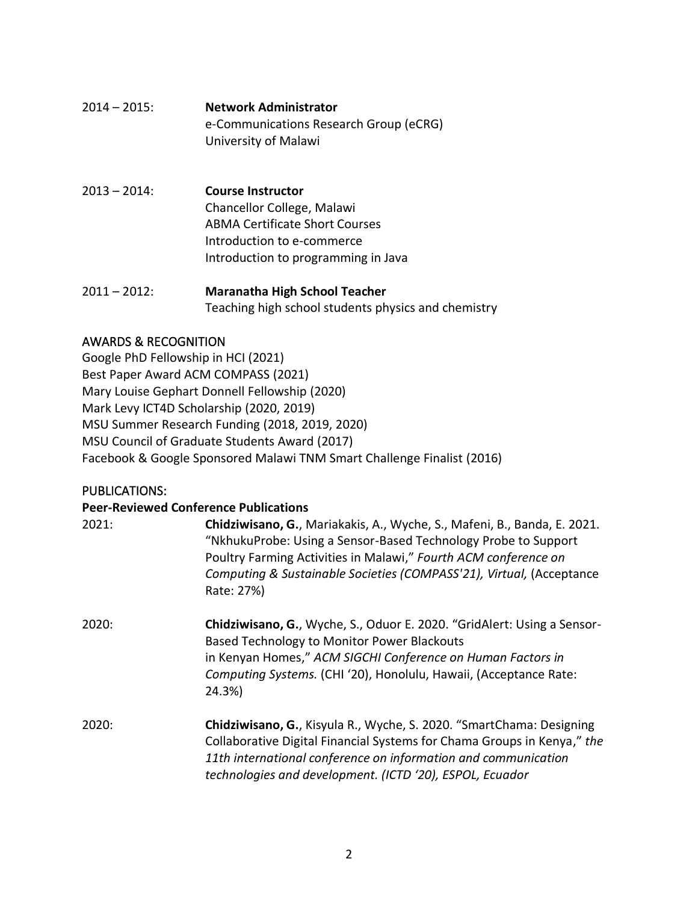| 2014 – 2015: . | <b>Network Administrator</b>                                   |
|----------------|----------------------------------------------------------------|
|                | e-Communications Research Group (eCRG)<br>University of Malawi |
|                |                                                                |

- 2013 2014: **Course Instructor**  Chancellor College, Malawi ABMA Certificate Short Courses Introduction to e-commerce Introduction to programming in Java
- 2011 2012: **Maranatha High School Teacher** Teaching high school students physics and chemistry

## AWARDS & RECOGNITION

Google PhD Fellowship in HCI (2021) Best Paper Award ACM COMPASS (2021) Mary Louise Gephart Donnell Fellowship (2020) Mark Levy ICT4D Scholarship (2020, 2019) MSU Summer Research Funding (2018, 2019, 2020) MSU Council of Graduate Students Award (2017) Facebook & Google Sponsored Malawi TNM Smart Challenge Finalist (2016)

## PUBLICATIONS:

| <b>Peer-Reviewed Conference Publications</b> |                                                                                                                                                                                                                                                                                                     |  |
|----------------------------------------------|-----------------------------------------------------------------------------------------------------------------------------------------------------------------------------------------------------------------------------------------------------------------------------------------------------|--|
| 2021:                                        | Chidziwisano, G., Mariakakis, A., Wyche, S., Mafeni, B., Banda, E. 2021.<br>"NkhukuProbe: Using a Sensor-Based Technology Probe to Support<br>Poultry Farming Activities in Malawi," Fourth ACM conference on<br>Computing & Sustainable Societies (COMPASS'21), Virtual, (Acceptance<br>Rate: 27%) |  |
| 2020:                                        | Chidziwisano, G., Wyche, S., Oduor E. 2020. "GridAlert: Using a Sensor-<br>Based Technology to Monitor Power Blackouts<br>in Kenyan Homes," ACM SIGCHI Conference on Human Factors in<br>Computing Systems. (CHI '20), Honolulu, Hawaii, (Acceptance Rate:<br>24.3%)                                |  |
| 2020:                                        | Chidziwisano, G., Kisyula R., Wyche, S. 2020. "SmartChama: Designing<br>Collaborative Digital Financial Systems for Chama Groups in Kenya," the<br>11th international conference on information and communication<br>technologies and development. (ICTD '20), ESPOL, Ecuador                       |  |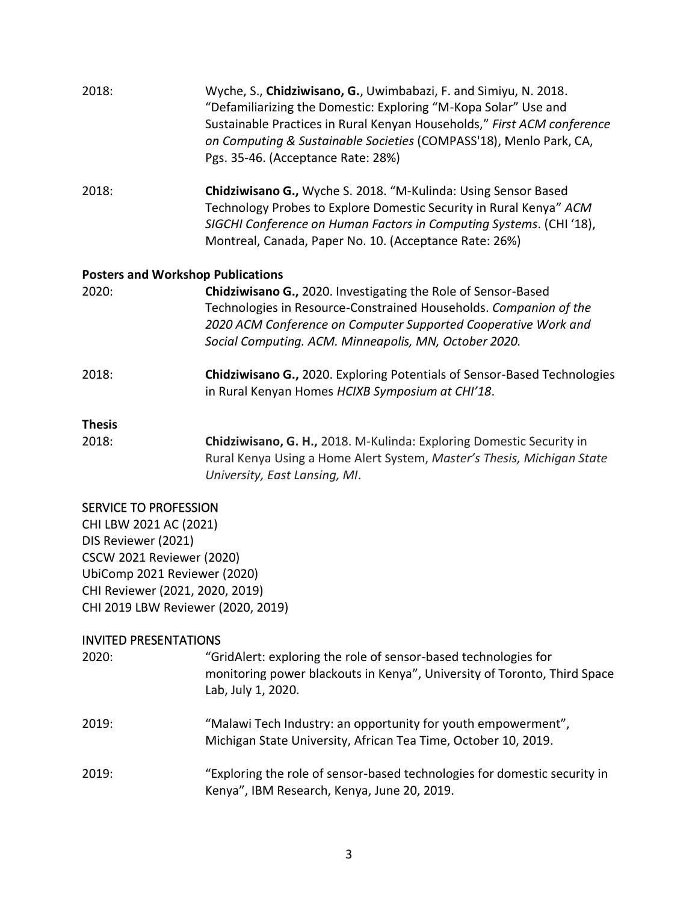| 2018:                                    | Wyche, S., Chidziwisano, G., Uwimbabazi, F. and Simiyu, N. 2018.<br>"Defamiliarizing the Domestic: Exploring "M-Kopa Solar" Use and<br>Sustainable Practices in Rural Kenyan Households," First ACM conference<br>on Computing & Sustainable Societies (COMPASS'18), Menlo Park, CA,<br>Pgs. 35-46. (Acceptance Rate: 28%) |  |
|------------------------------------------|----------------------------------------------------------------------------------------------------------------------------------------------------------------------------------------------------------------------------------------------------------------------------------------------------------------------------|--|
| 2018:                                    | Chidziwisano G., Wyche S. 2018. "M-Kulinda: Using Sensor Based<br>Technology Probes to Explore Domestic Security in Rural Kenya" ACM<br>SIGCHI Conference on Human Factors in Computing Systems. (CHI '18),<br>Montreal, Canada, Paper No. 10. (Acceptance Rate: 26%)                                                      |  |
| <b>Posters and Workshop Publications</b> |                                                                                                                                                                                                                                                                                                                            |  |
| 2020:                                    | Chidziwisano G., 2020. Investigating the Role of Sensor-Based<br>Technologies in Resource-Constrained Households. Companion of the<br>2020 ACM Conference on Computer Supported Cooperative Work and<br>Social Computing. ACM. Minneapolis, MN, October 2020.                                                              |  |
| 2018:                                    | Chidziwisano G., 2020. Exploring Potentials of Sensor-Based Technologies<br>in Rural Kenyan Homes HCIXB Symposium at CHI'18.                                                                                                                                                                                               |  |
| <b>Thesis</b>                            |                                                                                                                                                                                                                                                                                                                            |  |
| 2018:                                    | Chidziwisano, G. H., 2018. M-Kulinda: Exploring Domestic Security in<br>Rural Kenya Using a Home Alert System, Master's Thesis, Michigan State<br>University, East Lansing, MI.                                                                                                                                            |  |

### SERVICE TO PROFESSION

CHI LBW 2021 AC (2021) DIS Reviewer (2021) CSCW 2021 Reviewer (2020) UbiComp 2021 Reviewer (2020) CHI Reviewer (2021, 2020, 2019) CHI 2019 LBW Reviewer (2020, 2019)

## INVITED PRESENTATIONS

| 2020: | "GridAlert: exploring the role of sensor-based technologies for<br>monitoring power blackouts in Kenya", University of Toronto, Third Space<br>Lab, July 1, 2020. |
|-------|-------------------------------------------------------------------------------------------------------------------------------------------------------------------|
| 2019: | "Malawi Tech Industry: an opportunity for youth empowerment",<br>Michigan State University, African Tea Time, October 10, 2019.                                   |
| 2019: | "Exploring the role of sensor-based technologies for domestic security in<br>Kenya", IBM Research, Kenya, June 20, 2019.                                          |